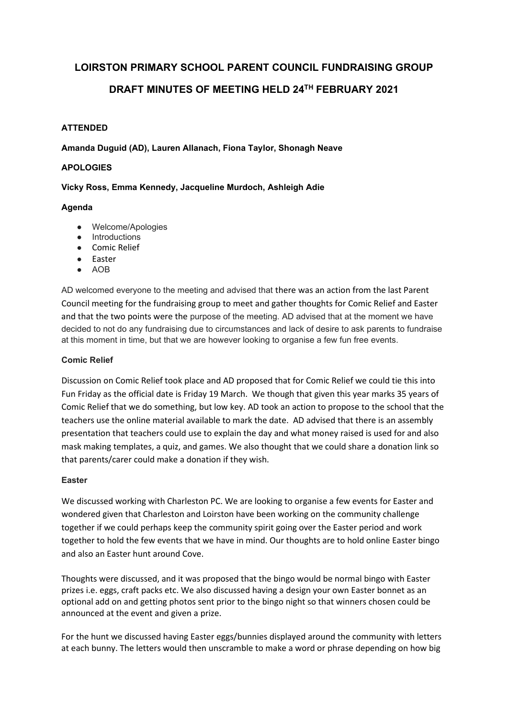# **LOIRSTON PRIMARY SCHOOL PARENT COUNCIL FUNDRAISING GROUP**

# **DRAFT MINUTES OF MEETING HELD 24TH FEBRUARY 2021**

# **ATTENDED**

**Amanda Duguid (AD), Lauren Allanach, Fiona Taylor, Shonagh Neave** 

#### **APOLOGIES**

## **Vicky Ross, Emma Kennedy, Jacqueline Murdoch, Ashleigh Adie**

## **Agenda**

- Welcome/Apologies
- Introductions
- Comic Relief
- Easter
- AOB

AD welcomed everyone to the meeting and advised that there was an action from the last Parent Council meeting for the fundraising group to meet and gather thoughts for Comic Relief and Easter and that the two points were the purpose of the meeting. AD advised that at the moment we have decided to not do any fundraising due to circumstances and lack of desire to ask parents to fundraise at this moment in time, but that we are however looking to organise a few fun free events.

#### **Comic Relief**

Discussion on Comic Relief took place and AD proposed that for Comic Relief we could tie this into Fun Friday as the official date is Friday 19 March. We though that given this year marks 35 years of Comic Relief that we do something, but low key. AD took an action to propose to the school that the teachers use the online material available to mark the date. AD advised that there is an assembly presentation that teachers could use to explain the day and what money raised is used for and also mask making templates, a quiz, and games. We also thought that we could share a donation link so that parents/carer could make a donation if they wish.

#### **Easter**

We discussed working with Charleston PC. We are looking to organise a few events for Easter and wondered given that Charleston and Loirston have been working on the community challenge together if we could perhaps keep the community spirit going over the Easter period and work together to hold the few events that we have in mind. Our thoughts are to hold online Easter bingo and also an Easter hunt around Cove.

Thoughts were discussed, and it was proposed that the bingo would be normal bingo with Easter prizes i.e. eggs, craft packs etc. We also discussed having a design your own Easter bonnet as an optional add on and getting photos sent prior to the bingo night so that winners chosen could be announced at the event and given a prize.

For the hunt we discussed having Easter eggs/bunnies displayed around the community with letters at each bunny. The letters would then unscramble to make a word or phrase depending on how big